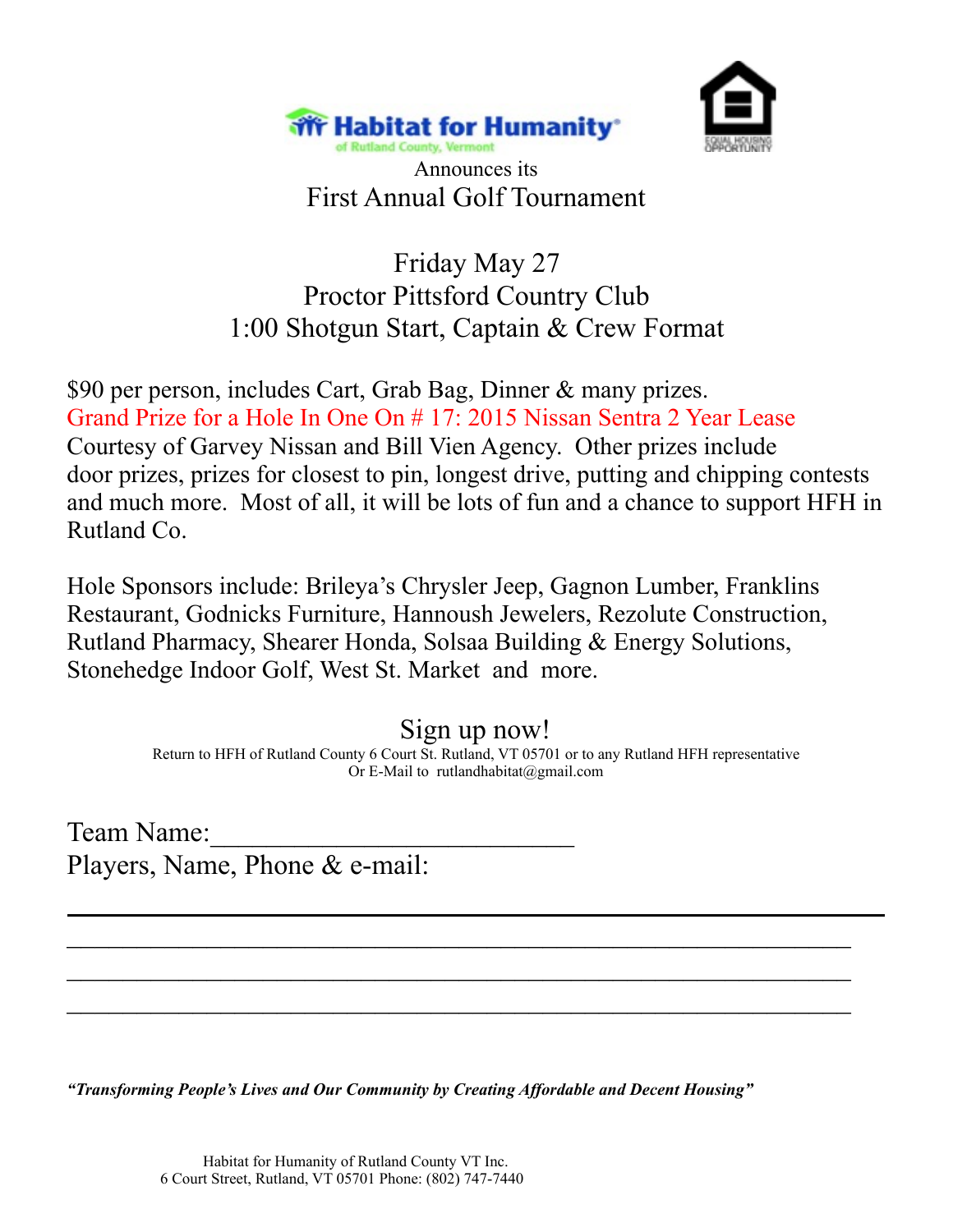



Announces its First Annual Golf Tournament

## Friday May 27 Proctor Pittsford Country Club 1:00 Shotgun Start, Captain & Crew Format

\$90 per person, includes Cart, Grab Bag, Dinner & many prizes. Grand Prize for a Hole In One On # 17: 2015 Nissan Sentra 2 Year Lease Courtesy of Garvey Nissan and Bill Vien Agency. Other prizes include door prizes, prizes for closest to pin, longest drive, putting and chipping contests and much more. Most of all, it will be lots of fun and a chance to support HFH in Rutland Co.

Hole Sponsors include: Brileya's Chrysler Jeep, Gagnon Lumber, Franklins Restaurant, Godnicks Furniture, Hannoush Jewelers, Rezolute Construction, Rutland Pharmacy, Shearer Honda, Solsaa Building & Energy Solutions, Stonehedge Indoor Golf, West St. Market and more.

Sign up now!

Return to HFH of Rutland County 6 Court St. Rutland, VT 05701 or to any Rutland HFH representative Or E-Mail to rutlandhabitat@gmail.com

 $\overline{\phantom{a}}$  , and the contribution of the contribution of the contribution of the contribution of the contribution of the contribution of the contribution of the contribution of the contribution of the contribution of the

 $\overline{\phantom{a}}$  , and the contribution of the contribution of the contribution of the contribution of the contribution of the contribution of the contribution of the contribution of the contribution of the contribution of the

 $\overline{\phantom{a}}$  , and the contribution of the contribution of the contribution of the contribution of the contribution of the contribution of the contribution of the contribution of the contribution of the contribution of the

Team Name: Players, Name, Phone & e-mail:

*"Transforming People's Lives and Our Community by Creating Affordable and Decent Housing"*